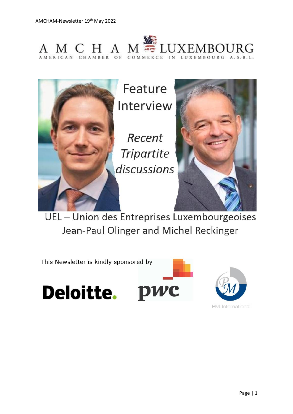



UEL - Union des Entreprises Luxembourgeoises Jean-Paul Olinger and Michel Reckinger

This Newsletter is kindly sponsored by

Deloitte. pwc



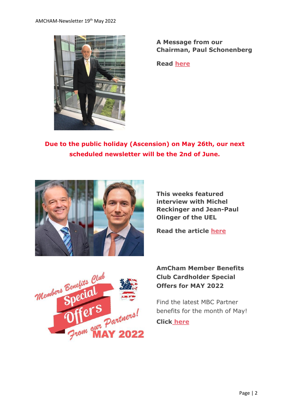

**A Message from our Chairman, Paul Schonenberg**

**Read [here](https://www.amcham.lu/newsletter/chairmans-remarks-19th-may-2022/)**

**Due to the public holiday (Ascension) on May 26th, our next scheduled newsletter will be the 2nd of June.**



**This weeks featured interview with Michel Reckinger and Jean-Paul Olinger of the UEL**

**Read the article [here](https://www.amcham.lu/newsletter/feature-interview-with-michel-reckinger-jean-paul-olinger/)**



## **AmCham Member Benefits Club Cardholder Special Offers for MAY 2022**

Find the latest MBC Partner benefits for the month of May!

**Clic[k](https://send.lola.lu/t/d-i-fjulhkt-l-j/) [here](https://www.amcham.lu/ambc-special-offers-may-2022/)**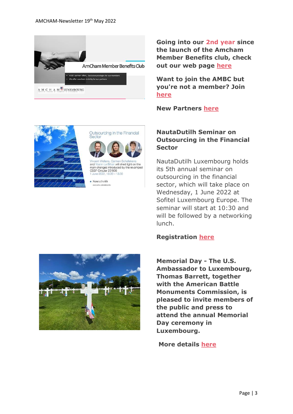

**Going into our 2nd year since the launch of the Amcham Member Benefits club, check out our web page [here](https://www.amcham.lu/amcham-benefits-club/)**

**Want to join the AMBC but you're not a member? Join [here](https://www.amcham.lu/amcham-benefits-club/ambc-card-for-non-members/)**

**New Partners [here](https://www.amcham.lu/newsletter/new-mbc-partners-as-of-19th-may-2022/)**





CSSF Circular 22/806 13:30

 $\bullet$  NautaDutilh

## **NautaDutilh Seminar on Outsourcing in the Financial Sector**

NautaDutilh Luxembourg holds its 5th annual seminar on outsourcing in the financial sector, which will take place on Wednesday, 1 June 2022 at Sofitel Luxembourg Europe. The seminar will start at 10:30 and will be followed by a networking lunch.

## **Registration [here](https://www.amcham.lu/nautadutilh-seminar-on-outsourcing-in-the-financial-sector/)**



**Memorial Day - The U.S. Ambassador to Luxembourg, Thomas Barrett, together with the American Battle Monuments Commission, is pleased to invite members of the public and press to attend the annual Memorial Day ceremony in Luxembourg.**

**More details [here](https://www.amcham.lu/u-s-memorial-day-2022/)**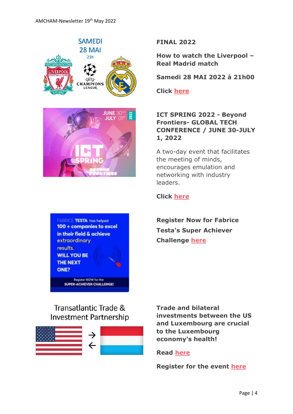

**FINAL 2022**

**How to watch the Liverpool – Real Madrid match**

**Samedi 28 MAI 2022 à 21h00**

**Click [here](https://www.amcham.lu/wp-content/uploads/2022/05/flyer-public-viewing.pdf)**

## **ICT SPRING 2022 - Beyond Frontiers- GLOBAL TECH CONFERENCE / JUNE 30-JULY 1, 2022**

A two-day event that facilitates the meeting of minds, encourages emulation and networking with industry leaders.



### **Click [here](https://www.ictspring.com/)**

**Register Now for Fabrice Testa's Super Achiever Challenge [here](https://www.amcham.lu/newsletter/21130/)**

# Transatlantic Trade & **Investment Partnership**



**Trade and bilateral investments between the US and Luxembourg are crucial to the Luxembourg economy's health!**

## **Read [here](https://www.amcham.lu/newsletter/transatlantic-trade-trade-and-bilateral-investments-between-the-united-states-and-luxembourg/)**

**Register for the event [here](https://www.amcham.lu/events/transatlantic-trade-and-investment/)**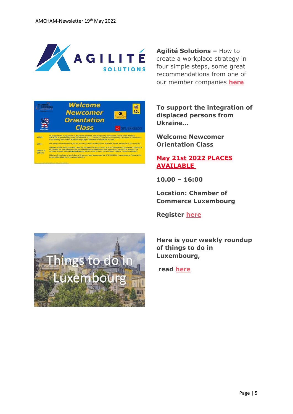

**Agilité Solutions –** How to create a workplace strategy in four simple steps, some great recommendations from one of our member companies **[here](https://www.amcham.lu/newsletter/1-agilite-solutions-how-to-create-a-workplace-strategy-in-four-simple-steps/)**



**To support the integration of displaced persons from Ukraine...**

**Welcome Newcomer Orientation Class**

## **May 21st 2022 PLACES AVAILABLE**

**10.00 – 16:00**

**Location: Chamber of Commerce Luxembourg**

**Register [here](https://www.amcham.lu/events/newcomer-orientation-courses-in-support-of-ukrainian-displaced-persons-and-temporary-protection-status-3/)**



**read [here](https://www.amcham.lu/newsletter/things-to-do-in-luxembourg-newsletter-19th-may-2022/)**

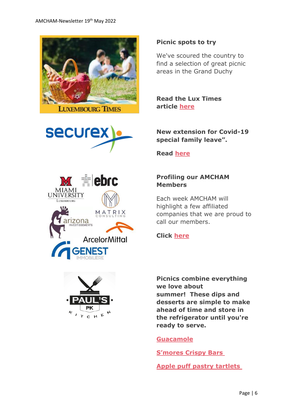







We've scoured the country to find a selection of great picnic areas in the Grand Duchy

**Read the Lux Times article [here](https://www.luxtimes.lu/en/leisure-and-shopping/picnic-spots-to-try-602d602cde135b9236951cb2?utm_source=en_daily&utm_medium=email&utm_content=newsLink&utm_campaign=dailyNewsletter)**

#### **New extension for Covid-19 special family leave".**

**Read [here](https://www.amcham.lu/newsletter/new-extension-for-covid-19-special-family-leave/)**

## **Profiling our AMCHAM Members**

Each week AMCHAM will highlight a few affiliated companies that we are proud to call our members.

### **Click [here](https://www.amcham.lu/newsletter/profiling-our-members-19th-may-2022/)**

**Picnics combine everything we love about summer! These dips and desserts are simple to make ahead of time and store in the refrigerator until you're ready to serve.**

#### **[Guacamole](https://www.allrecipes.com/recipe/14231/guacamole/)**

**[S'mores Crispy Bars](https://www.tasteofhome.com/recipes/s-mores-crispy-bars/)**

**[Apple puff pastry tartlets](https://champagne-tastes.com/apple-puff-pastry-tartlets/#recipe)**

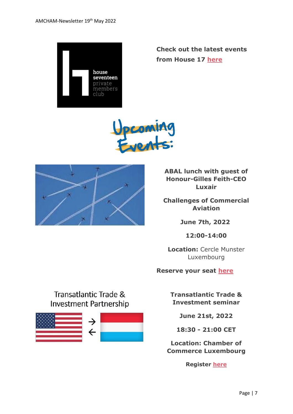

**Check out the latest events from House 17 [here](https://www.amcham.lu/newsletter/house-17-events-2/)**





**ABAL lunch with guest of Honour-Gilles Feith-CEO Luxair**

**Challenges of Commercial Aviation**

**June 7th, 2022**

**12:00-14:00**

**Location:** Cercle Munster Luxembourg

**Reserve your seat [here](https://www.amcham.lu/events/challenges-of-commercial-aviation/)**

# Transatlantic Trade & Investment Partnership



**Transatlantic Trade & Investment seminar**

**June 21st, 2022**

**18:30 - 21:00 CET**

**Location: Chamber of Commerce Luxembourg**

**Register [here](https://www.amcham.lu/events/transatlantic-trade-and-investment/)**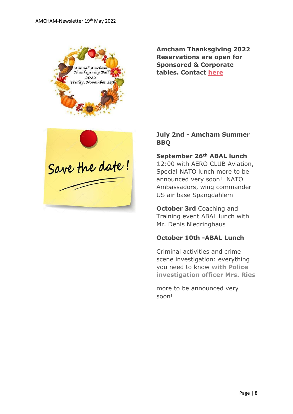

**Amcham Thanksgiving 2022 Reservations are open for Sponsored & Corporate tables. Contact [here](mailto:daniel@amcham.lu)**



## **July 2nd - Amcham Summer BBQ**

#### **September 26th ABAL lunch**

**1**2:00 with AERO CLUB Aviation, Special NATO lunch more to be announced very soon! NATO Ambassadors, wing commander US air base Spangdahlem

**October 3rd** Coaching and Training event ABAL lunch with Mr. Denis Niedringhaus

#### **October 10th -ABAL Lunch**

Criminal activities and crime scene investigation: everything you need to know **with Police investigation officer Mrs. Ries**

more to be announced very soon!